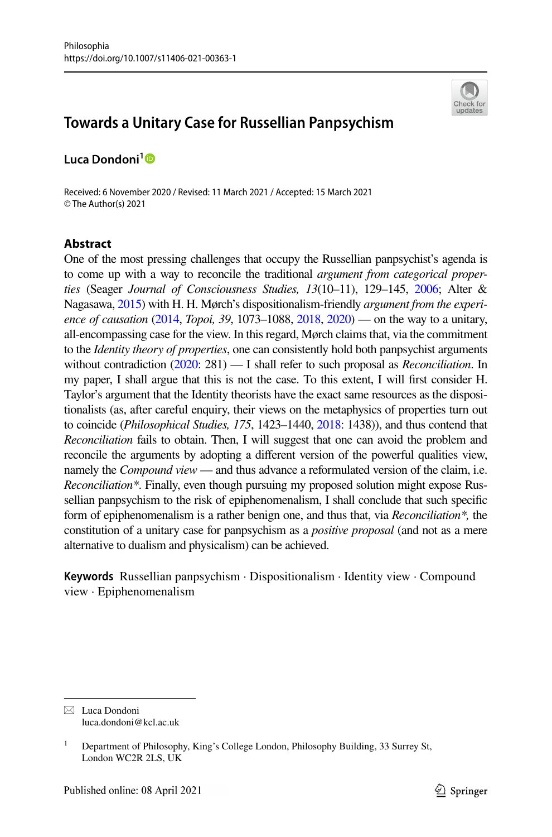

# **Towards a Unitary Case for Russellian Panpsychism**

**Luca Dondoni[1](http://orcid.org/0000-0001-8729-2859)**

Received: 6 November 2020 / Revised: 11 March 2021 / Accepted: 15 March 2021 © The Author(s) 2021

# **Abstract**

One of the most pressing challenges that occupy the Russellian panpsychist's agenda is to come up with a way to reconcile the traditional *argument from categorical properties* (Seager *Journal of Consciousness Studies, 13*(10–11), 129–145, [2006](#page-21-0); Alter & Nagasawa, [2015\)](#page-20-0) with H. H. Mørch's dispositionalism-friendly *argument from the experience of causation* ([2014,](#page-21-1) *Topoi, 39*, 1073–1088, [2018](#page-21-2), [2020](#page-21-3)) — on the way to a unitary, all-encompassing case for the view. In this regard, Mørch claims that, via the commitment to the *Identity theory of properties*, one can consistently hold both panpsychist arguments without contradiction ([2020:](#page-21-3) 281) — I shall refer to such proposal as *Reconciliation*. In my paper, I shall argue that this is not the case. To this extent, I will frst consider H. Taylor's argument that the Identity theorists have the exact same resources as the dispositionalists (as, after careful enquiry, their views on the metaphysics of properties turn out to coincide (*Philosophical Studies, 175*, 1423–1440, [2018](#page-21-4): 1438)), and thus contend that *Reconciliation* fails to obtain. Then, I will suggest that one can avoid the problem and reconcile the arguments by adopting a diferent version of the powerful qualities view, namely the *Compound view* — and thus advance a reformulated version of the claim, i.e. *Reconciliation\**. Finally, even though pursuing my proposed solution might expose Russellian panpsychism to the risk of epiphenomenalism, I shall conclude that such specifc form of epiphenomenalism is a rather benign one, and thus that, via *Reconciliation\*,* the constitution of a unitary case for panpsychism as a *positive proposal* (and not as a mere alternative to dualism and physicalism) can be achieved.

**Keywords** Russellian panpsychism · Dispositionalism · Identity view · Compound view · Epiphenomenalism

 $\boxtimes$  Luca Dondoni luca.dondoni@kcl.ac.uk

<sup>&</sup>lt;sup>1</sup> Department of Philosophy, King's College London, Philosophy Building, 33 Surrey St, London WC2R 2LS, UK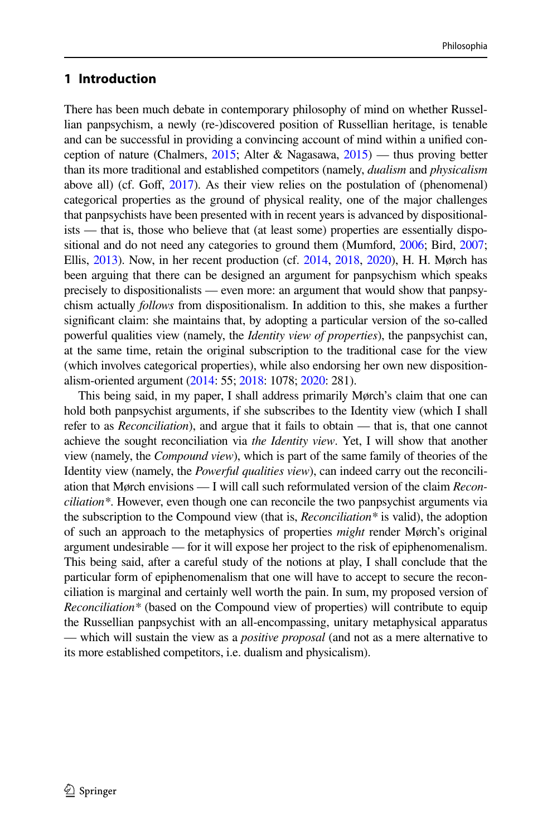# **1 Introduction**

There has been much debate in contemporary philosophy of mind on whether Russellian panpsychism, a newly (re-)discovered position of Russellian heritage, is tenable and can be successful in providing a convincing account of mind within a unifed conception of nature (Chalmers, [2015](#page-20-1); Alter & Nagasawa, [2015](#page-20-0)) — thus proving better than its more traditional and established competitors (namely, *dualism* and *physicalism* above all) (cf. Gof, [2017](#page-20-2)). As their view relies on the postulation of (phenomenal) categorical properties as the ground of physical reality, one of the major challenges that panpsychists have been presented with in recent years is advanced by dispositionalists — that is, those who believe that (at least some) properties are essentially dispositional and do not need any categories to ground them (Mumford, [2006;](#page-21-5) Bird, [2007;](#page-20-3) Ellis, [2013\)](#page-20-4). Now, in her recent production (cf. [2014](#page-21-1), [2018](#page-21-2), [2020\)](#page-21-3), H. H. Mørch has been arguing that there can be designed an argument for panpsychism which speaks precisely to dispositionalists — even more: an argument that would show that panpsychism actually *follows* from dispositionalism. In addition to this, she makes a further signifcant claim: she maintains that, by adopting a particular version of the so-called powerful qualities view (namely, the *Identity view of properties*), the panpsychist can, at the same time, retain the original subscription to the traditional case for the view (which involves categorical properties), while also endorsing her own new dispositionalism-oriented argument [\(2014:](#page-21-1) 55; [2018](#page-21-2): 1078; [2020:](#page-21-3) 281).

This being said, in my paper, I shall address primarily Mørch's claim that one can hold both panpsychist arguments, if she subscribes to the Identity view (which I shall refer to as *Reconciliation*), and argue that it fails to obtain — that is, that one cannot achieve the sought reconciliation via *the Identity view*. Yet, I will show that another view (namely, the *Compound view*), which is part of the same family of theories of the Identity view (namely, the *Powerful qualities view*), can indeed carry out the reconciliation that Mørch envisions — I will call such reformulated version of the claim *Reconciliation\**. However, even though one can reconcile the two panpsychist arguments via the subscription to the Compound view (that is, *Reconciliation\** is valid), the adoption of such an approach to the metaphysics of properties *might* render Mørch's original argument undesirable — for it will expose her project to the risk of epiphenomenalism. This being said, after a careful study of the notions at play, I shall conclude that the particular form of epiphenomenalism that one will have to accept to secure the reconciliation is marginal and certainly well worth the pain. In sum, my proposed version of *Reconciliation\** (based on the Compound view of properties) will contribute to equip the Russellian panpsychist with an all-encompassing, unitary metaphysical apparatus — which will sustain the view as a *positive proposal* (and not as a mere alternative to its more established competitors, i.e. dualism and physicalism).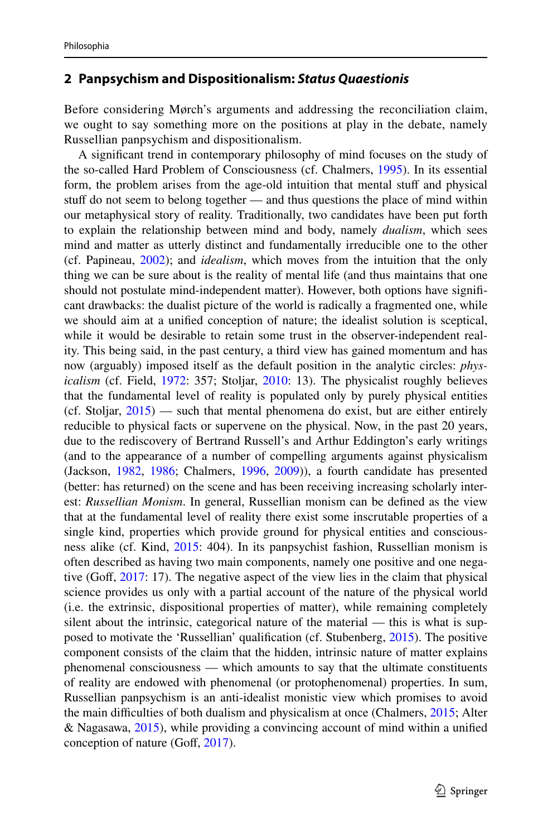### <span id="page-2-0"></span>**2 Panpsychism and Dispositionalism:** *Status Quaestionis*

Before considering Mørch's arguments and addressing the reconciliation claim, we ought to say something more on the positions at play in the debate, namely Russellian panpsychism and dispositionalism.

A signifcant trend in contemporary philosophy of mind focuses on the study of the so-called Hard Problem of Consciousness (cf. Chalmers, [1995\)](#page-20-5). In its essential form, the problem arises from the age-old intuition that mental stuff and physical stuff do not seem to belong together — and thus questions the place of mind within our metaphysical story of reality. Traditionally, two candidates have been put forth to explain the relationship between mind and body, namely *dualism*, which sees mind and matter as utterly distinct and fundamentally irreducible one to the other (cf. Papineau, [2002\)](#page-21-6); and *idealism*, which moves from the intuition that the only thing we can be sure about is the reality of mental life (and thus maintains that one should not postulate mind-independent matter). However, both options have signifcant drawbacks: the dualist picture of the world is radically a fragmented one, while we should aim at a unifed conception of nature; the idealist solution is sceptical, while it would be desirable to retain some trust in the observer-independent reality. This being said, in the past century, a third view has gained momentum and has now (arguably) imposed itself as the default position in the analytic circles: *physicalism* (cf. Field, [1972](#page-20-6): 357; Stoljar, [2010](#page-21-7): 13). The physicalist roughly believes that the fundamental level of reality is populated only by purely physical entities (cf. Stoljar,  $2015$ ) — such that mental phenomena do exist, but are either entirely reducible to physical facts or supervene on the physical. Now, in the past 20 years, due to the rediscovery of Bertrand Russell's and Arthur Eddington's early writings (and to the appearance of a number of compelling arguments against physicalism (Jackson, [1982,](#page-20-7) [1986](#page-20-8); Chalmers, [1996,](#page-20-9) [2009\)](#page-20-10)), a fourth candidate has presented (better: has returned) on the scene and has been receiving increasing scholarly interest: *Russellian Monism*. In general, Russellian monism can be defned as the view that at the fundamental level of reality there exist some inscrutable properties of a single kind, properties which provide ground for physical entities and consciousness alike (cf. Kind, [2015](#page-21-9): 404). In its panpsychist fashion, Russellian monism is often described as having two main components, namely one positive and one nega-tive (Goff, [2017](#page-20-2): 17). The negative aspect of the view lies in the claim that physical science provides us only with a partial account of the nature of the physical world (i.e. the extrinsic, dispositional properties of matter), while remaining completely silent about the intrinsic, categorical nature of the material — this is what is supposed to motivate the 'Russellian' qualifcation (cf. Stubenberg, [2015](#page-21-10)). The positive component consists of the claim that the hidden, intrinsic nature of matter explains phenomenal consciousness — which amounts to say that the ultimate constituents of reality are endowed with phenomenal (or protophenomenal) properties. In sum, Russellian panpsychism is an anti-idealist monistic view which promises to avoid the main difficulties of both dualism and physicalism at once (Chalmers, [2015;](#page-20-1) Alter & Nagasawa, [2015](#page-20-0)), while providing a convincing account of mind within a unifed conception of nature (Goff, [2017](#page-20-2)).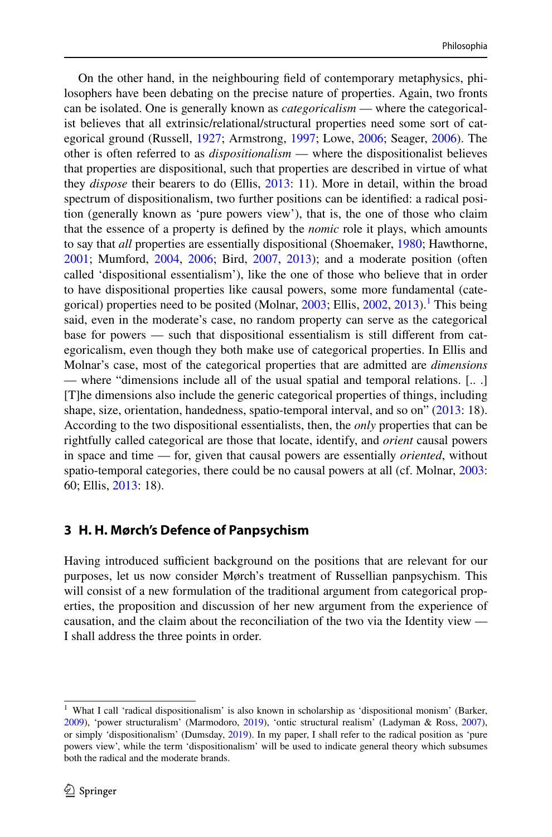On the other hand, in the neighbouring feld of contemporary metaphysics, philosophers have been debating on the precise nature of properties. Again, two fronts can be isolated. One is generally known as *categoricalism* — where the categoricalist believes that all extrinsic/relational/structural properties need some sort of categorical ground (Russell, [1927](#page-21-11); Armstrong, [1997](#page-20-11); Lowe, [2006](#page-21-12); Seager, [2006\)](#page-21-0). The other is often referred to as *dispositionalism* — where the dispositionalist believes that properties are dispositional, such that properties are described in virtue of what they *dispose* their bearers to do (Ellis, [2013](#page-20-4): 11). More in detail, within the broad spectrum of dispositionalism, two further positions can be identifed: a radical position (generally known as 'pure powers view'), that is, the one of those who claim that the essence of a property is defned by the *nomic* role it plays, which amounts to say that *all* properties are essentially dispositional (Shoemaker, [1980](#page-21-13); Hawthorne, [2001](#page-20-12); Mumford, [2004,](#page-21-14) [2006;](#page-21-5) Bird, [2007](#page-20-3), [2013](#page-20-13)); and a moderate position (often called 'dispositional essentialism'), like the one of those who believe that in order to have dispositional properties like causal powers, some more fundamental (cate-gorical) properties need to be posited (Molnar, [2003](#page-21-15); Ellis, [2002,](#page-20-14) [2013\)](#page-20-4).<sup>[1](#page-3-0)</sup> This being said, even in the moderate's case, no random property can serve as the categorical base for powers — such that dispositional essentialism is still diferent from categoricalism, even though they both make use of categorical properties. In Ellis and Molnar's case, most of the categorical properties that are admitted are *dimensions* — where "dimensions include all of the usual spatial and temporal relations. [.. .] [T]he dimensions also include the generic categorical properties of things, including shape, size, orientation, handedness, spatio-temporal interval, and so on" [\(2013](#page-20-4): 18). According to the two dispositional essentialists, then, the *only* properties that can be rightfully called categorical are those that locate, identify, and *orient* causal powers in space and time — for, given that causal powers are essentially *oriented*, without spatio-temporal categories, there could be no causal powers at all (cf. Molnar, [2003:](#page-21-15) 60; Ellis, [2013:](#page-20-4) 18).

# **3 H. H. Mørch's Defence of Panpsychism**

Having introduced sufficient background on the positions that are relevant for our purposes, let us now consider Mørch's treatment of Russellian panpsychism. This will consist of a new formulation of the traditional argument from categorical properties, the proposition and discussion of her new argument from the experience of causation, and the claim about the reconciliation of the two via the Identity view — I shall address the three points in order.

<span id="page-3-0"></span><sup>&</sup>lt;sup>1</sup> What I call 'radical dispositionalism' is also known in scholarship as 'dispositional monism' (Barker, [2009](#page-20-15)), 'power structuralism' (Marmodoro, [2019\)](#page-21-16), 'ontic structural realism' (Ladyman & Ross, [2007\)](#page-21-17), or simply 'dispositionalism' (Dumsday, [2019\)](#page-20-16). In my paper, I shall refer to the radical position as 'pure powers view', while the term 'dispositionalism' will be used to indicate general theory which subsumes both the radical and the moderate brands.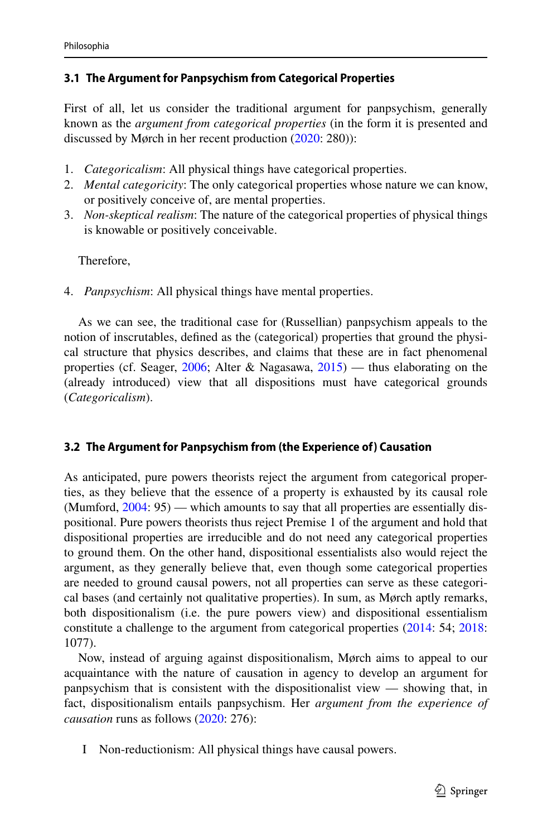### **3.1 The Argument for Panpsychism from Categorical Properties**

First of all, let us consider the traditional argument for panpsychism, generally known as the *argument from categorical properties* (in the form it is presented and discussed by Mørch in her recent production ([2020:](#page-21-3) 280)):

- 1. *Categoricalism*: All physical things have categorical properties.
- 2. *Mental categoricity*: The only categorical properties whose nature we can know, or positively conceive of, are mental properties.
- 3. *Non-skeptical realism*: The nature of the categorical properties of physical things is knowable or positively conceivable.

Therefore,

4. *Panpsychism*: All physical things have mental properties.

As we can see, the traditional case for (Russellian) panpsychism appeals to the notion of inscrutables, defned as the (categorical) properties that ground the physical structure that physics describes, and claims that these are in fact phenomenal properties (cf. Seager, [2006;](#page-21-0) Alter & Nagasawa, [2015](#page-20-0)) — thus elaborating on the (already introduced) view that all dispositions must have categorical grounds (*Categoricalism*).

# <span id="page-4-0"></span>**3.2 The Argument for Panpsychism from (the Experience of) Causation**

As anticipated, pure powers theorists reject the argument from categorical properties, as they believe that the essence of a property is exhausted by its causal role (Mumford, [2004](#page-21-14): 95) — which amounts to say that all properties are essentially dispositional. Pure powers theorists thus reject Premise 1 of the argument and hold that dispositional properties are irreducible and do not need any categorical properties to ground them. On the other hand, dispositional essentialists also would reject the argument, as they generally believe that, even though some categorical properties are needed to ground causal powers, not all properties can serve as these categorical bases (and certainly not qualitative properties). In sum, as Mørch aptly remarks, both dispositionalism (i.e. the pure powers view) and dispositional essentialism constitute a challenge to the argument from categorical properties ([2014:](#page-21-1) 54; [2018:](#page-21-2) 1077).

Now, instead of arguing against dispositionalism, Mørch aims to appeal to our acquaintance with the nature of causation in agency to develop an argument for panpsychism that is consistent with the dispositionalist view — showing that, in fact, dispositionalism entails panpsychism. Her *argument from the experience of causation* runs as follows [\(2020](#page-21-3): 276):

I Non-reductionism: All physical things have causal powers.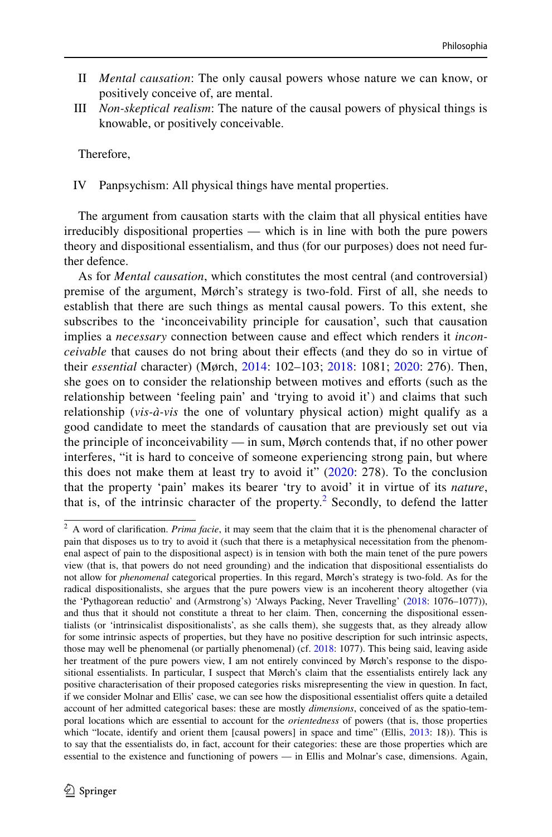- II *Mental causation*: The only causal powers whose nature we can know, or positively conceive of, are mental.
- III *Non-skeptical realism*: The nature of the causal powers of physical things is knowable, or positively conceivable.

Therefore,

IV Panpsychism: All physical things have mental properties.

The argument from causation starts with the claim that all physical entities have irreducibly dispositional properties — which is in line with both the pure powers theory and dispositional essentialism, and thus (for our purposes) does not need further defence.

As for *Mental causation*, which constitutes the most central (and controversial) premise of the argument, Mørch's strategy is two-fold. First of all, she needs to establish that there are such things as mental causal powers. To this extent, she subscribes to the 'inconceivability principle for causation', such that causation implies a *necessary* connection between cause and efect which renders it *inconceivable* that causes do not bring about their efects (and they do so in virtue of their *essential* character) (Mørch, [2014:](#page-21-1) 102–103; [2018](#page-21-2): 1081; [2020](#page-21-3): 276). Then, she goes on to consider the relationship between motives and eforts (such as the relationship between 'feeling pain' and 'trying to avoid it') and claims that such relationship (*vis-à-vis* the one of voluntary physical action) might qualify as a good candidate to meet the standards of causation that are previously set out via the principle of inconceivability — in sum, Mørch contends that, if no other power interferes, "it is hard to conceive of someone experiencing strong pain, but where this does not make them at least try to avoid it"  $(2020: 278)$  $(2020: 278)$ . To the conclusion that the property 'pain' makes its bearer 'try to avoid' it in virtue of its *nature*, that is, of the intrinsic character of the property.<sup>[2](#page-5-0)</sup> Secondly, to defend the latter

<span id="page-5-0"></span><sup>&</sup>lt;sup>2</sup> A word of clarification. *Prima facie*, it may seem that the claim that it is the phenomenal character of pain that disposes us to try to avoid it (such that there is a metaphysical necessitation from the phenomenal aspect of pain to the dispositional aspect) is in tension with both the main tenet of the pure powers view (that is, that powers do not need grounding) and the indication that dispositional essentialists do not allow for *phenomenal* categorical properties. In this regard, Mørch's strategy is two-fold. As for the radical dispositionalists, she argues that the pure powers view is an incoherent theory altogether (via the 'Pythagorean reductio' and (Armstrong's) 'Always Packing, Never Travelling' [\(2018](#page-21-2): 1076–1077)), and thus that it should not constitute a threat to her claim. Then, concerning the dispositional essentialists (or 'intrinsicalist dispositionalists', as she calls them), she suggests that, as they already allow for some intrinsic aspects of properties, but they have no positive description for such intrinsic aspects, those may well be phenomenal (or partially phenomenal) (cf. [2018:](#page-21-2) 1077). This being said, leaving aside her treatment of the pure powers view, I am not entirely convinced by Mørch's response to the dispositional essentialists. In particular, I suspect that Mørch's claim that the essentialists entirely lack any positive characterisation of their proposed categories risks misrepresenting the view in question. In fact, if we consider Molnar and Ellis' case, we can see how the dispositional essentialist ofers quite a detailed account of her admitted categorical bases: these are mostly *dimensions*, conceived of as the spatio-temporal locations which are essential to account for the *orientedness* of powers (that is, those properties which "locate, identify and orient them [causal powers] in space and time" (Ellis, [2013](#page-20-4): 18)). This is to say that the essentialists do, in fact, account for their categories: these are those properties which are essential to the existence and functioning of powers — in Ellis and Molnar's case, dimensions. Again,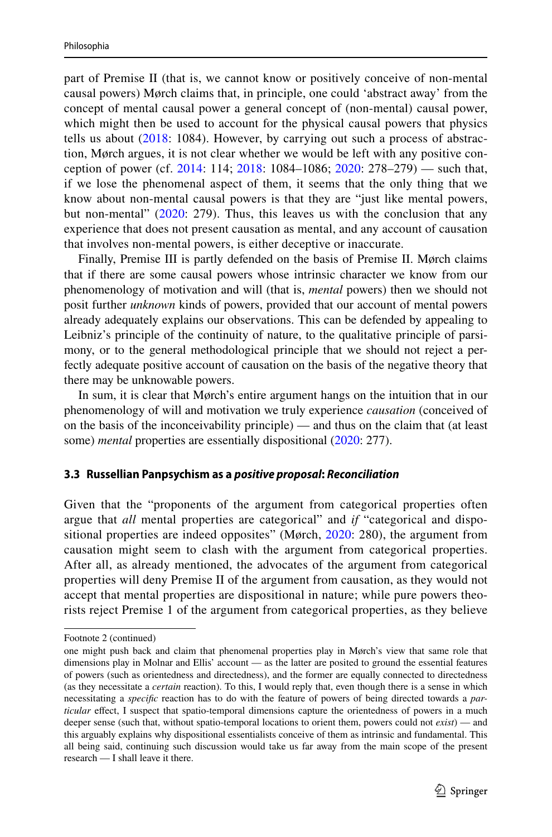part of Premise II (that is, we cannot know or positively conceive of non-mental causal powers) Mørch claims that, in principle, one could 'abstract away' from the concept of mental causal power a general concept of (non-mental) causal power, which might then be used to account for the physical causal powers that physics tells us about  $(2018: 1084)$  $(2018: 1084)$  $(2018: 1084)$ . However, by carrying out such a process of abstraction, Mørch argues, it is not clear whether we would be left with any positive conception of power (cf. [2014:](#page-21-1) 114; [2018](#page-21-2): 1084–1086; [2020](#page-21-3): 278–279) — such that, if we lose the phenomenal aspect of them, it seems that the only thing that we know about non-mental causal powers is that they are "just like mental powers, but non-mental" ([2020](#page-21-3): 279). Thus, this leaves us with the conclusion that any experience that does not present causation as mental, and any account of causation that involves non-mental powers, is either deceptive or inaccurate.

Finally, Premise III is partly defended on the basis of Premise II. Mørch claims that if there are some causal powers whose intrinsic character we know from our phenomenology of motivation and will (that is, *mental* powers) then we should not posit further *unknown* kinds of powers, provided that our account of mental powers already adequately explains our observations. This can be defended by appealing to Leibniz's principle of the continuity of nature, to the qualitative principle of parsimony, or to the general methodological principle that we should not reject a perfectly adequate positive account of causation on the basis of the negative theory that there may be unknowable powers.

In sum, it is clear that Mørch's entire argument hangs on the intuition that in our phenomenology of will and motivation we truly experience *causation* (conceived of on the basis of the inconceivability principle) — and thus on the claim that (at least some) *mental* properties are essentially dispositional [\(2020](#page-21-3): 277).

#### <span id="page-6-0"></span>**3.3 Russellian Panpsychism as a** *positive proposal***:** *Reconciliation*

Given that the "proponents of the argument from categorical properties often argue that *all* mental properties are categorical" and *if* "categorical and dispo-sitional properties are indeed opposites" (Mørch, [2020:](#page-21-3) 280), the argument from causation might seem to clash with the argument from categorical properties. After all, as already mentioned, the advocates of the argument from categorical properties will deny Premise II of the argument from causation, as they would not accept that mental properties are dispositional in nature; while pure powers theorists reject Premise 1 of the argument from categorical properties, as they believe

Footnote 2 (continued)

one might push back and claim that phenomenal properties play in Mørch's view that same role that dimensions play in Molnar and Ellis' account — as the latter are posited to ground the essential features of powers (such as orientedness and directedness), and the former are equally connected to directedness (as they necessitate a *certain* reaction). To this, I would reply that, even though there is a sense in which necessitating a *specifc* reaction has to do with the feature of powers of being directed towards a *particular* effect, I suspect that spatio-temporal dimensions capture the orientedness of powers in a much deeper sense (such that, without spatio-temporal locations to orient them, powers could not *exist*) — and this arguably explains why dispositional essentialists conceive of them as intrinsic and fundamental. This all being said, continuing such discussion would take us far away from the main scope of the present research — I shall leave it there.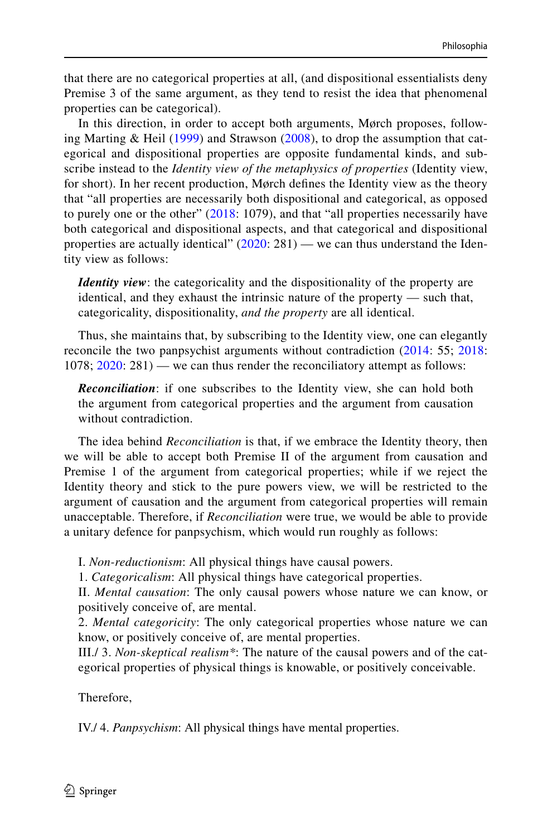that there are no categorical properties at all, (and dispositional essentialists deny Premise 3 of the same argument, as they tend to resist the idea that phenomenal properties can be categorical).

In this direction, in order to accept both arguments, Mørch proposes, following Marting & Heil [\(1999\)](#page-21-18) and Strawson ([2008](#page-21-19)), to drop the assumption that categorical and dispositional properties are opposite fundamental kinds, and subscribe instead to the *Identity view of the metaphysics of properties* (Identity view, for short). In her recent production, Mørch defnes the Identity view as the theory that "all properties are necessarily both dispositional and categorical, as opposed to purely one or the other" [\(2018:](#page-21-2) 1079), and that "all properties necessarily have both categorical and dispositional aspects, and that categorical and dispositional properties are actually identical"  $(2020: 281)$  $(2020: 281)$  $(2020: 281)$  — we can thus understand the Identity view as follows:

*Identity view*: the categoricality and the dispositionality of the property are identical, and they exhaust the intrinsic nature of the property — such that, categoricality, dispositionality, *and the property* are all identical.

Thus, she maintains that, by subscribing to the Identity view, one can elegantly reconcile the two panpsychist arguments without contradiction [\(2014](#page-21-1): 55; [2018:](#page-21-2) 1078; [2020:](#page-21-3) 281) — we can thus render the reconciliatory attempt as follows:

*Reconciliation*: if one subscribes to the Identity view, she can hold both the argument from categorical properties and the argument from causation without contradiction.

The idea behind *Reconciliation* is that, if we embrace the Identity theory, then we will be able to accept both Premise II of the argument from causation and Premise 1 of the argument from categorical properties; while if we reject the Identity theory and stick to the pure powers view, we will be restricted to the argument of causation and the argument from categorical properties will remain unacceptable. Therefore, if *Reconciliation* were true, we would be able to provide a unitary defence for panpsychism, which would run roughly as follows:

I. *Non-reductionism*: All physical things have causal powers.

1. *Categoricalism*: All physical things have categorical properties.

II. *Mental causation*: The only causal powers whose nature we can know, or positively conceive of, are mental.

2. *Mental categoricity*: The only categorical properties whose nature we can know, or positively conceive of, are mental properties.

III./ 3. *Non-skeptical realism\**: The nature of the causal powers and of the categorical properties of physical things is knowable, or positively conceivable.

Therefore,

IV./ 4. *Panpsychism*: All physical things have mental properties.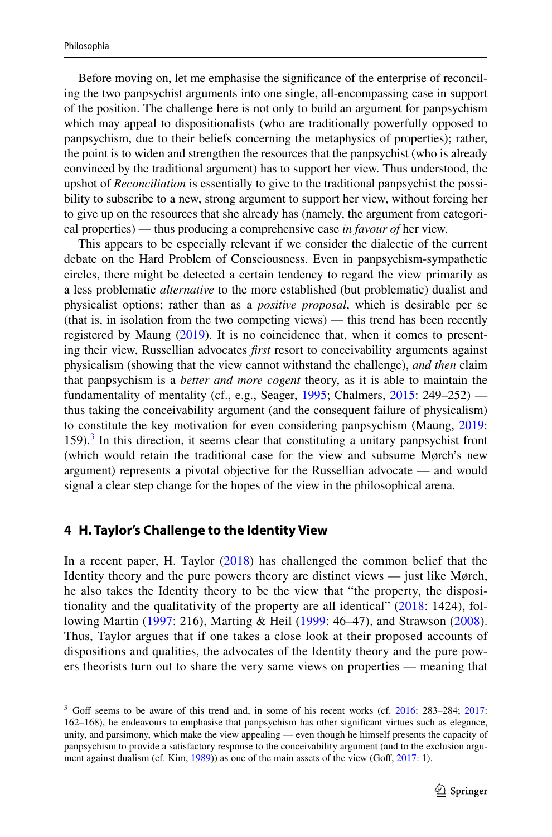Before moving on, let me emphasise the signifcance of the enterprise of reconciling the two panpsychist arguments into one single, all-encompassing case in support of the position. The challenge here is not only to build an argument for panpsychism which may appeal to dispositionalists (who are traditionally powerfully opposed to panpsychism, due to their beliefs concerning the metaphysics of properties); rather, the point is to widen and strengthen the resources that the panpsychist (who is already convinced by the traditional argument) has to support her view. Thus understood, the upshot of *Reconciliation* is essentially to give to the traditional panpsychist the possibility to subscribe to a new, strong argument to support her view, without forcing her to give up on the resources that she already has (namely, the argument from categorical properties) — thus producing a comprehensive case *in favour of* her view.

This appears to be especially relevant if we consider the dialectic of the current debate on the Hard Problem of Consciousness. Even in panpsychism-sympathetic circles, there might be detected a certain tendency to regard the view primarily as a less problematic *alternative* to the more established (but problematic) dualist and physicalist options; rather than as a *positive proposal*, which is desirable per se (that is, in isolation from the two competing views) — this trend has been recently registered by Maung [\(2019](#page-21-20)). It is no coincidence that, when it comes to presenting their view, Russellian advocates *frst* resort to conceivability arguments against physicalism (showing that the view cannot withstand the challenge), *and then* claim that panpsychism is a *better and more cogent* theory, as it is able to maintain the fundamentality of mentality (cf., e.g., Seager, [1995](#page-21-21); Chalmers,  $2015$ : 249–252) thus taking the conceivability argument (and the consequent failure of physicalism) to constitute the key motivation for even considering panpsychism (Maung, [2019:](#page-21-20)  $159$ ).<sup>[3](#page-8-0)</sup> In this direction, it seems clear that constituting a unitary panpsychist front (which would retain the traditional case for the view and subsume Mørch's new argument) represents a pivotal objective for the Russellian advocate — and would signal a clear step change for the hopes of the view in the philosophical arena.

### **4 H. Taylor's Challenge to the Identity View**

In a recent paper, H. Taylor [\(2018\)](#page-21-4) has challenged the common belief that the Identity theory and the pure powers theory are distinct views — just like Mørch, he also takes the Identity theory to be the view that "the property, the dispositionality and the qualitativity of the property are all identical" [\(2018](#page-21-2): 1424), following Martin ([1997:](#page-21-22) 216), Marting & Heil ([1999:](#page-21-18) 46–47), and Strawson ([2008](#page-21-19)). Thus, Taylor argues that if one takes a close look at their proposed accounts of dispositions and qualities, the advocates of the Identity theory and the pure powers theorists turn out to share the very same views on properties — meaning that

<span id="page-8-0"></span><sup>&</sup>lt;sup>3</sup> Goff seems to be aware of this trend and, in some of his recent works (cf. [2016:](#page-20-17) 283-284; [2017](#page-20-2): 162–168), he endeavours to emphasise that panpsychism has other signifcant virtues such as elegance, unity, and parsimony, which make the view appealing — even though he himself presents the capacity of panpsychism to provide a satisfactory response to the conceivability argument (and to the exclusion argu-ment against dualism (cf. Kim, [1989\)](#page-21-23)) as one of the main assets of the view (Goff, [2017:](#page-20-2) 1).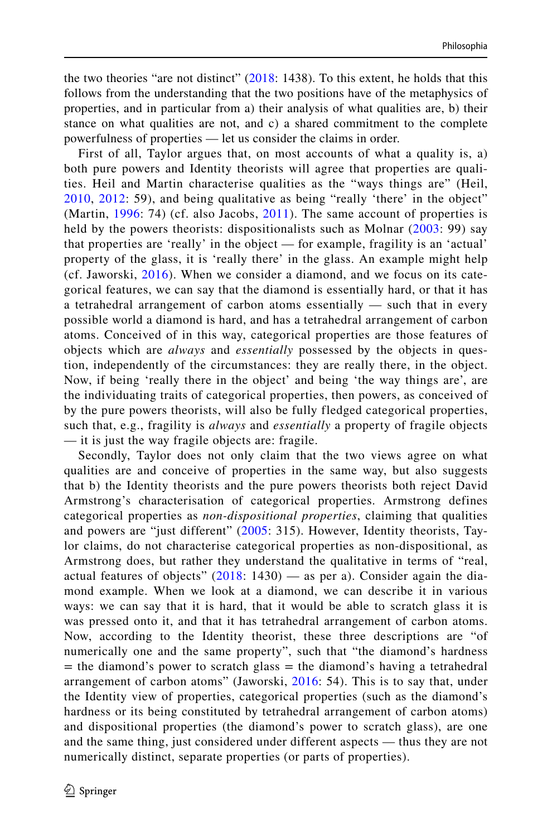the two theories "are not distinct" [\(2018:](#page-21-2) 1438). To this extent, he holds that this follows from the understanding that the two positions have of the metaphysics of properties, and in particular from a) their analysis of what qualities are, b) their stance on what qualities are not, and c) a shared commitment to the complete powerfulness of properties — let us consider the claims in order.

First of all, Taylor argues that, on most accounts of what a quality is, a) both pure powers and Identity theorists will agree that properties are qualities. Heil and Martin characterise qualities as the "ways things are" (Heil, [2010](#page-20-18), [2012](#page-20-19): 59), and being qualitative as being "really 'there' in the object" (Martin, [1996:](#page-21-24) 74) (cf. also Jacobs, [2011\)](#page-20-20). The same account of properties is held by the powers theorists: dispositionalists such as Molnar ([2003](#page-21-15): 99) say that properties are 'really' in the object — for example, fragility is an 'actual' property of the glass, it is 'really there' in the glass. An example might help (cf. Jaworski,  $2016$ ). When we consider a diamond, and we focus on its categorical features, we can say that the diamond is essentially hard, or that it has a tetrahedral arrangement of carbon atoms essentially — such that in every possible world a diamond is hard, and has a tetrahedral arrangement of carbon atoms. Conceived of in this way, categorical properties are those features of objects which are *always* and *essentially* possessed by the objects in question, independently of the circumstances: they are really there, in the object. Now, if being 'really there in the object' and being 'the way things are', are the individuating traits of categorical properties, then powers, as conceived of by the pure powers theorists, will also be fully fledged categorical properties, such that, e.g., fragility is *always* and *essentially* a property of fragile objects — it is just the way fragile objects are: fragile.

Secondly, Taylor does not only claim that the two views agree on what qualities are and conceive of properties in the same way, but also suggests that b) the Identity theorists and the pure powers theorists both reject David Armstrong's characterisation of categorical properties. Armstrong defines categorical properties as *non-dispositional properties*, claiming that qualities and powers are "just different" ([2005](#page-20-22): 315). However, Identity theorists, Taylor claims, do not characterise categorical properties as non-dispositional, as Armstrong does, but rather they understand the qualitative in terms of "real, actual features of objects"  $(2018: 1430)$  $(2018: 1430)$  $(2018: 1430)$  — as per a). Consider again the diamond example. When we look at a diamond, we can describe it in various ways: we can say that it is hard, that it would be able to scratch glass it is was pressed onto it, and that it has tetrahedral arrangement of carbon atoms. Now, according to the Identity theorist, these three descriptions are "of numerically one and the same property", such that "the diamond's hardness  $=$  the diamond's power to scratch glass  $=$  the diamond's having a tetrahedral arrangement of carbon atoms" (Jaworski, [2016:](#page-20-21) 54). This is to say that, under the Identity view of properties, categorical properties (such as the diamond's hardness or its being constituted by tetrahedral arrangement of carbon atoms) and dispositional properties (the diamond's power to scratch glass), are one and the same thing, just considered under different aspects — thus they are not numerically distinct, separate properties (or parts of properties).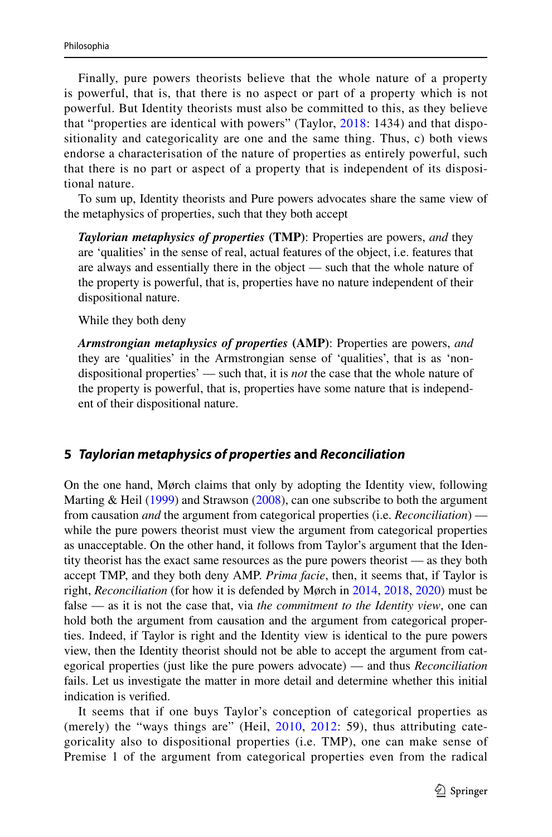Finally, pure powers theorists believe that the whole nature of a property is powerful, that is, that there is no aspect or part of a property which is not powerful. But Identity theorists must also be committed to this, as they believe that "properties are identical with powers" (Taylor, [2018:](#page-21-4) 1434) and that dispositionality and categoricality are one and the same thing. Thus, c) both views endorse a characterisation of the nature of properties as entirely powerful, such that there is no part or aspect of a property that is independent of its dispositional nature.

To sum up, Identity theorists and Pure powers advocates share the same view of the metaphysics of properties, such that they both accept

*Taylorian metaphysics of properties* **(TMP)**: Properties are powers, *and* they are 'qualities' in the sense of real, actual features of the object, i.e. features that are always and essentially there in the object — such that the whole nature of the property is powerful, that is, properties have no nature independent of their dispositional nature.

While they both deny

*Armstrongian metaphysics of properties* **(AMP)**: Properties are powers, *and* they are 'qualities' in the Armstrongian sense of 'qualities', that is as 'nondispositional properties' — such that, it is *not* the case that the whole nature of the property is powerful, that is, properties have some nature that is independent of their dispositional nature.

# **5** *Taylorian metaphysics of properties* **and** *Reconciliation*

On the one hand, Mørch claims that only by adopting the Identity view, following Marting & Heil  $(1999)$  $(1999)$  and Strawson  $(2008)$  $(2008)$ , can one subscribe to both the argument from causation *and* the argument from categorical properties (i.e. *Reconciliation*) while the pure powers theorist must view the argument from categorical properties as unacceptable. On the other hand, it follows from Taylor's argument that the Identity theorist has the exact same resources as the pure powers theorist — as they both accept TMP, and they both deny AMP. *Prima facie*, then, it seems that, if Taylor is right, *Reconciliation* (for how it is defended by Mørch in [2014,](#page-21-1) [2018,](#page-21-2) [2020](#page-21-3)) must be false — as it is not the case that, via *the commitment to the Identity view*, one can hold both the argument from causation and the argument from categorical properties. Indeed, if Taylor is right and the Identity view is identical to the pure powers view, then the Identity theorist should not be able to accept the argument from categorical properties (just like the pure powers advocate) — and thus *Reconciliation* fails. Let us investigate the matter in more detail and determine whether this initial indication is verifed.

It seems that if one buys Taylor's conception of categorical properties as (merely) the "ways things are" (Heil, [2010,](#page-20-18) [2012:](#page-20-19) 59), thus attributing categoricality also to dispositional properties (i.e. TMP), one can make sense of Premise 1 of the argument from categorical properties even from the radical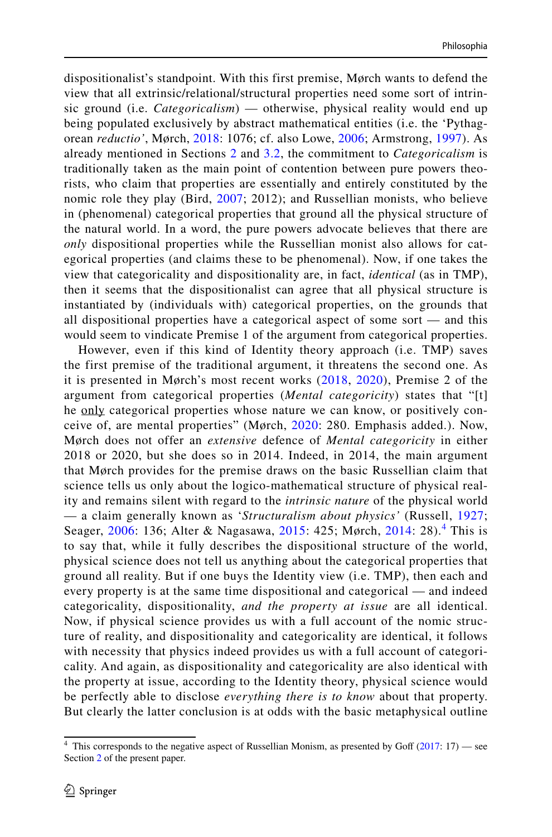dispositionalist's standpoint. With this first premise, Mørch wants to defend the view that all extrinsic/relational/structural properties need some sort of intrinsic ground (i.e. *Categoricalism*) — otherwise, physical reality would end up being populated exclusively by abstract mathematical entities (i.e. the 'Pythagorean *reductio'*, Mørch, [2018:](#page-21-2) 1076; cf. also Lowe, [2006](#page-21-12); Armstrong, [1997](#page-20-11)). As already mentioned in Sections [2](#page-2-0) and [3.2](#page-4-0), the commitment to *Categoricalism* is traditionally taken as the main point of contention between pure powers theorists, who claim that properties are essentially and entirely constituted by the nomic role they play (Bird, [2007;](#page-20-3) 2012); and Russellian monists, who believe in (phenomenal) categorical properties that ground all the physical structure of the natural world. In a word, the pure powers advocate believes that there are *only* dispositional properties while the Russellian monist also allows for categorical properties (and claims these to be phenomenal). Now, if one takes the view that categoricality and dispositionality are, in fact, *identical* (as in TMP), then it seems that the dispositionalist can agree that all physical structure is instantiated by (individuals with) categorical properties, on the grounds that all dispositional properties have a categorical aspect of some sort — and this would seem to vindicate Premise 1 of the argument from categorical properties.

However, even if this kind of Identity theory approach (i.e. TMP) saves the first premise of the traditional argument, it threatens the second one. As it is presented in Mørch's most recent works ([2018](#page-21-2), [2020](#page-21-3)), Premise 2 of the argument from categorical properties (*Mental categoricity*) states that "[t] he only categorical properties whose nature we can know, or positively conceive of, are mental properties" (Mørch, [2020:](#page-21-3) 280. Emphasis added.). Now, Mørch does not offer an *extensive* defence of *Mental categoricity* in either 2018 or 2020, but she does so in 2014. Indeed, in 2014, the main argument that Mørch provides for the premise draws on the basic Russellian claim that science tells us only about the logico-mathematical structure of physical reality and remains silent with regard to the *intrinsic nature* of the physical world — a claim generally known as '*Structuralism about physics'* (Russell, [1927;](#page-21-11) Seager, [2006](#page-21-0): 136; Alter & Nagasawa, [2015:](#page-20-0) 425; Mørch, [2014](#page-21-1): 28).<sup>[4](#page-11-0)</sup> This is to say that, while it fully describes the dispositional structure of the world, physical science does not tell us anything about the categorical properties that ground all reality. But if one buys the Identity view (i.e. TMP), then each and every property is at the same time dispositional and categorical — and indeed categoricality, dispositionality, *and the property at issue* are all identical. Now, if physical science provides us with a full account of the nomic structure of reality, and dispositionality and categoricality are identical, it follows with necessity that physics indeed provides us with a full account of categoricality. And again, as dispositionality and categoricality are also identical with the property at issue, according to the Identity theory, physical science would be perfectly able to disclose *everything there is to know* about that property. But clearly the latter conclusion is at odds with the basic metaphysical outline

<span id="page-11-0"></span><sup>&</sup>lt;sup>4</sup> This corresponds to the negative aspect of Russellian Monism, as presented by Goff  $(2017: 17)$  $(2017: 17)$  - see Section [2](#page-2-0) of the present paper.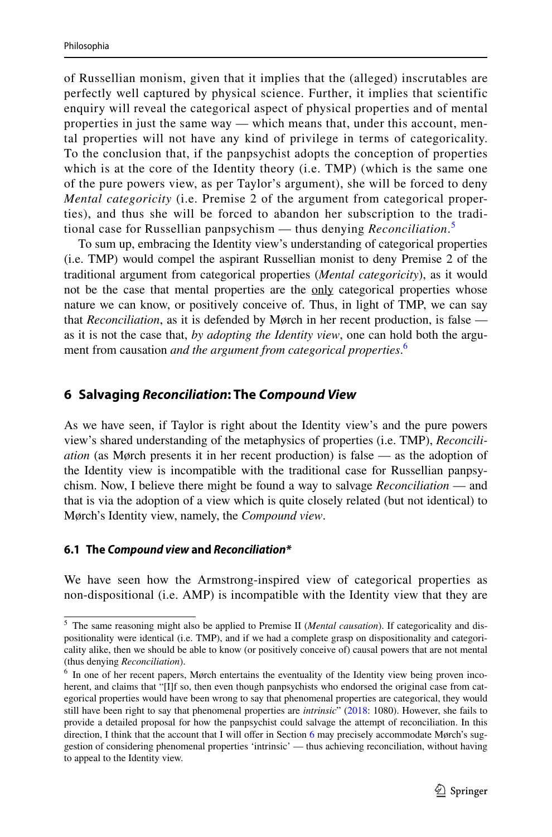of Russellian monism, given that it implies that the (alleged) inscrutables are perfectly well captured by physical science. Further, it implies that scientific enquiry will reveal the categorical aspect of physical properties and of mental properties in just the same way — which means that, under this account, mental properties will not have any kind of privilege in terms of categoricality. To the conclusion that, if the panpsychist adopts the conception of properties which is at the core of the Identity theory (i.e. TMP) (which is the same one of the pure powers view, as per Taylor's argument), she will be forced to deny *Mental categoricity* (i.e. Premise 2 of the argument from categorical properties), and thus she will be forced to abandon her subscription to the traditional case for Russellian panpsychism — thus denying *Reconciliation*. [5](#page-12-0)

To sum up, embracing the Identity view's understanding of categorical properties (i.e. TMP) would compel the aspirant Russellian monist to deny Premise 2 of the traditional argument from categorical properties (*Mental categoricity*), as it would not be the case that mental properties are the only categorical properties whose nature we can know, or positively conceive of. Thus, in light of TMP, we can say that *Reconciliation*, as it is defended by Mørch in her recent production, is false as it is not the case that, *by adopting the Identity view*, one can hold both the argument from causation *and the argument from categorical properties*. [6](#page-12-1)

# <span id="page-12-2"></span>**6 Salvaging** *Reconciliation***: The** *Compound View*

As we have seen, if Taylor is right about the Identity view's and the pure powers view's shared understanding of the metaphysics of properties (i.e. TMP), *Reconciliation* (as Mørch presents it in her recent production) is false — as the adoption of the Identity view is incompatible with the traditional case for Russellian panpsychism. Now, I believe there might be found a way to salvage *Reconciliation* — and that is via the adoption of a view which is quite closely related (but not identical) to Mørch's Identity view, namely, the *Compound view*.

### **6.1 The** *Compound view* **and** *Reconciliation\**

We have seen how the Armstrong-inspired view of categorical properties as non-dispositional (i.e. AMP) is incompatible with the Identity view that they are

<span id="page-12-0"></span><sup>5</sup> The same reasoning might also be applied to Premise II (*Mental causation*). If categoricality and dispositionality were identical (i.e. TMP), and if we had a complete grasp on dispositionality and categoricality alike, then we should be able to know (or positively conceive of) causal powers that are not mental (thus denying *Reconciliation*).

<span id="page-12-1"></span><sup>&</sup>lt;sup>6</sup> In one of her recent papers, Mørch entertains the eventuality of the Identity view being proven incoherent, and claims that "[I]f so, then even though panpsychists who endorsed the original case from categorical properties would have been wrong to say that phenomenal properties are categorical, they would still have been right to say that phenomenal properties are *intrinsic*" ([2018:](#page-21-2) 1080). However, she fails to provide a detailed proposal for how the panpsychist could salvage the attempt of reconciliation. In this direction, I think that the account that I will offer in Section [6](#page-2-0) may precisely accommodate Mørch's suggestion of considering phenomenal properties 'intrinsic' — thus achieving reconciliation, without having to appeal to the Identity view.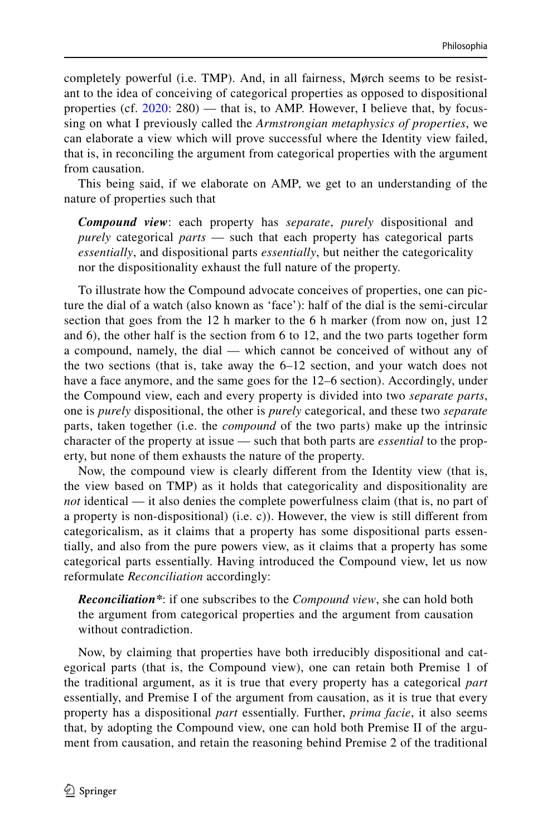completely powerful (i.e. TMP). And, in all fairness, Mørch seems to be resistant to the idea of conceiving of categorical properties as opposed to dispositional properties (cf.  $2020: 280$  $2020: 280$ ) — that is, to AMP. However, I believe that, by focussing on what I previously called the *Armstrongian metaphysics of properties*, we can elaborate a view which will prove successful where the Identity view failed, that is, in reconciling the argument from categorical properties with the argument from causation.

This being said, if we elaborate on AMP, we get to an understanding of the nature of properties such that

*Compound view*: each property has *separate*, *purely* dispositional and *purely* categorical *parts* — such that each property has categorical parts *essentially*, and dispositional parts *essentially*, but neither the categoricality nor the dispositionality exhaust the full nature of the property.

To illustrate how the Compound advocate conceives of properties, one can picture the dial of a watch (also known as 'face'): half of the dial is the semi-circular section that goes from the 12 h marker to the 6 h marker (from now on, just 12 and 6), the other half is the section from 6 to 12, and the two parts together form a compound, namely, the dial — which cannot be conceived of without any of the two sections (that is, take away the 6–12 section, and your watch does not have a face anymore, and the same goes for the 12–6 section). Accordingly, under the Compound view, each and every property is divided into two *separate parts*, one is *purely* dispositional, the other is *purely* categorical, and these two *separate* parts, taken together (i.e. the *compound* of the two parts) make up the intrinsic character of the property at issue — such that both parts are *essential* to the property, but none of them exhausts the nature of the property.

Now, the compound view is clearly diferent from the Identity view (that is, the view based on TMP) as it holds that categoricality and dispositionality are *not* identical — it also denies the complete powerfulness claim (that is, no part of a property is non-dispositional) (i.e. c)). However, the view is still diferent from categoricalism, as it claims that a property has some dispositional parts essentially, and also from the pure powers view, as it claims that a property has some categorical parts essentially. Having introduced the Compound view, let us now reformulate *Reconciliation* accordingly:

*Reconciliation\**: if one subscribes to the *Compound view*, she can hold both the argument from categorical properties and the argument from causation without contradiction.

Now, by claiming that properties have both irreducibly dispositional and categorical parts (that is, the Compound view), one can retain both Premise 1 of the traditional argument, as it is true that every property has a categorical *part* essentially, and Premise I of the argument from causation, as it is true that every property has a dispositional *part* essentially. Further, *prima facie*, it also seems that, by adopting the Compound view, one can hold both Premise II of the argument from causation, and retain the reasoning behind Premise 2 of the traditional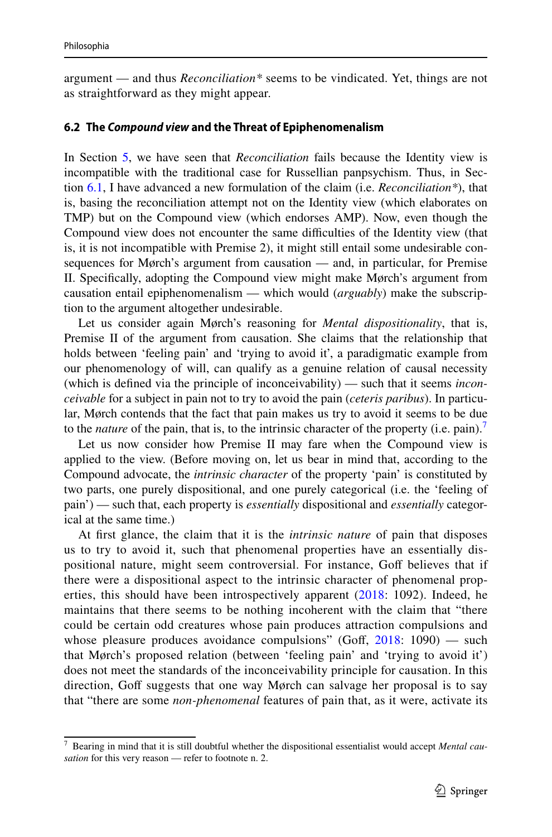argument — and thus *Reconciliation\** seems to be vindicated. Yet, things are not as straightforward as they might appear.

#### **6.2 The** *Compound view* **and the Threat of Epiphenomenalism**

In Section [5](#page-2-0), we have seen that *Reconciliation* fails because the Identity view is incompatible with the traditional case for Russellian panpsychism. Thus, in Section [6.1,](#page-12-2) I have advanced a new formulation of the claim (i.e. *Reconciliation\**), that is, basing the reconciliation attempt not on the Identity view (which elaborates on TMP) but on the Compound view (which endorses AMP). Now, even though the Compound view does not encounter the same difficulties of the Identity view (that is, it is not incompatible with Premise 2), it might still entail some undesirable consequences for Mørch's argument from causation — and, in particular, for Premise II. Specifcally, adopting the Compound view might make Mørch's argument from causation entail epiphenomenalism — which would (*arguably*) make the subscription to the argument altogether undesirable.

Let us consider again Mørch's reasoning for *Mental dispositionality*, that is, Premise II of the argument from causation. She claims that the relationship that holds between 'feeling pain' and 'trying to avoid it', a paradigmatic example from our phenomenology of will, can qualify as a genuine relation of causal necessity (which is defned via the principle of inconceivability) — such that it seems *inconceivable* for a subject in pain not to try to avoid the pain (*ceteris paribus*). In particular, Mørch contends that the fact that pain makes us try to avoid it seems to be due to the *nature* of the pain, that is, to the intrinsic character of the property (i.e. pain).<sup>7</sup>

Let us now consider how Premise II may fare when the Compound view is applied to the view. (Before moving on, let us bear in mind that, according to the Compound advocate, the *intrinsic character* of the property 'pain' is constituted by two parts, one purely dispositional, and one purely categorical (i.e. the 'feeling of pain') — such that, each property is *essentially* dispositional and *essentially* categorical at the same time.)

At frst glance, the claim that it is the *intrinsic nature* of pain that disposes us to try to avoid it, such that phenomenal properties have an essentially dispositional nature, might seem controversial. For instance, Goff believes that if there were a dispositional aspect to the intrinsic character of phenomenal properties, this should have been introspectively apparent ([2018](#page-20-23): 1092). Indeed, he maintains that there seems to be nothing incoherent with the claim that "there could be certain odd creatures whose pain produces attraction compulsions and whose pleasure produces avoidance compulsions" (Goff,  $2018: 1090$  $2018: 1090$ ) — such that Mørch's proposed relation (between 'feeling pain' and 'trying to avoid it') does not meet the standards of the inconceivability principle for causation. In this direction, Goff suggests that one way Mørch can salvage her proposal is to say that "there are some *non-phenomenal* features of pain that, as it were, activate its

<span id="page-14-0"></span><sup>7</sup> Bearing in mind that it is still doubtful whether the dispositional essentialist would accept *Mental causation* for this very reason — refer to footnote n. 2.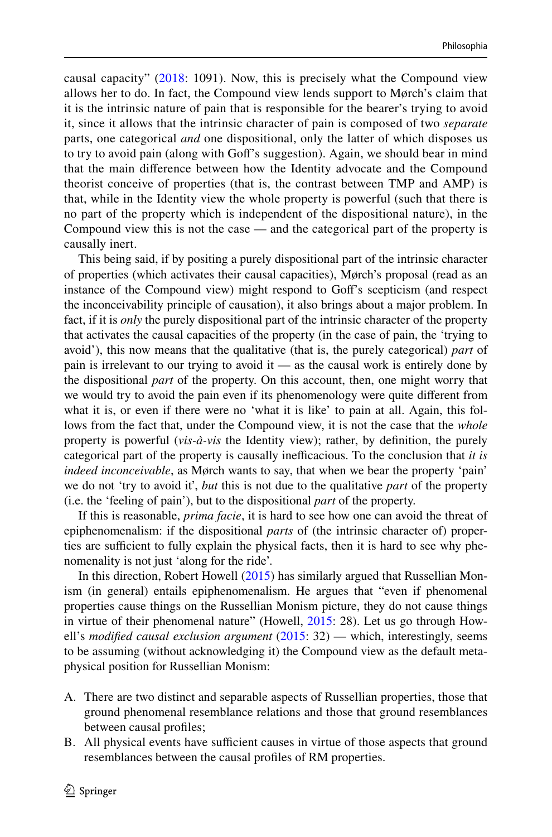causal capacity" ([2018](#page-20-23): 1091). Now, this is precisely what the Compound view allows her to do. In fact, the Compound view lends support to Mørch's claim that it is the intrinsic nature of pain that is responsible for the bearer's trying to avoid it, since it allows that the intrinsic character of pain is composed of two *separate* parts, one categorical *and* one dispositional, only the latter of which disposes us to try to avoid pain (along with Gof's suggestion). Again, we should bear in mind that the main diference between how the Identity advocate and the Compound theorist conceive of properties (that is, the contrast between TMP and AMP) is that, while in the Identity view the whole property is powerful (such that there is no part of the property which is independent of the dispositional nature), in the Compound view this is not the case — and the categorical part of the property is causally inert.

This being said, if by positing a purely dispositional part of the intrinsic character of properties (which activates their causal capacities), Mørch's proposal (read as an instance of the Compound view) might respond to Gof's scepticism (and respect the inconceivability principle of causation), it also brings about a major problem. In fact, if it is *only* the purely dispositional part of the intrinsic character of the property that activates the causal capacities of the property (in the case of pain, the 'trying to avoid'), this now means that the qualitative (that is, the purely categorical) *part* of pain is irrelevant to our trying to avoid it — as the causal work is entirely done by the dispositional *part* of the property. On this account, then, one might worry that we would try to avoid the pain even if its phenomenology were quite diferent from what it is, or even if there were no 'what it is like' to pain at all. Again, this follows from the fact that, under the Compound view, it is not the case that the *whole* property is powerful (*vis-à-vis* the Identity view); rather, by defnition, the purely categorical part of the property is causally inefficacious. To the conclusion that *it is indeed inconceivable*, as Mørch wants to say, that when we bear the property 'pain' we do not 'try to avoid it', *but* this is not due to the qualitative *part* of the property (i.e. the 'feeling of pain'), but to the dispositional *part* of the property.

If this is reasonable, *prima facie*, it is hard to see how one can avoid the threat of epiphenomenalism: if the dispositional *parts* of (the intrinsic character of) properties are sufficient to fully explain the physical facts, then it is hard to see why phenomenality is not just 'along for the ride'.

In this direction, Robert Howell [\(2015](#page-20-24)) has similarly argued that Russellian Monism (in general) entails epiphenomenalism. He argues that "even if phenomenal properties cause things on the Russellian Monism picture, they do not cause things in virtue of their phenomenal nature" (Howell, [2015:](#page-20-24) 28). Let us go through Howell's *modifed causal exclusion argument* [\(2015](#page-20-24): 32) — which, interestingly, seems to be assuming (without acknowledging it) the Compound view as the default metaphysical position for Russellian Monism:

- A. There are two distinct and separable aspects of Russellian properties, those that ground phenomenal resemblance relations and those that ground resemblances between causal profles;
- B. All physical events have sufficient causes in virtue of those aspects that ground resemblances between the causal profles of RM properties.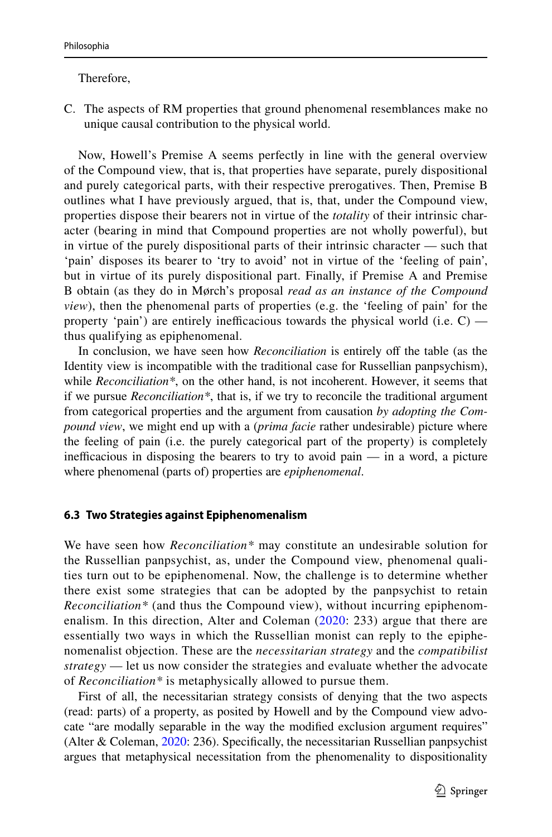### Therefore,

C. The aspects of RM properties that ground phenomenal resemblances make no unique causal contribution to the physical world.

Now, Howell's Premise A seems perfectly in line with the general overview of the Compound view, that is, that properties have separate, purely dispositional and purely categorical parts, with their respective prerogatives. Then, Premise B outlines what I have previously argued, that is, that, under the Compound view, properties dispose their bearers not in virtue of the *totality* of their intrinsic character (bearing in mind that Compound properties are not wholly powerful), but in virtue of the purely dispositional parts of their intrinsic character — such that 'pain' disposes its bearer to 'try to avoid' not in virtue of the 'feeling of pain', but in virtue of its purely dispositional part. Finally, if Premise A and Premise B obtain (as they do in Mørch's proposal *read as an instance of the Compound view*), then the phenomenal parts of properties (e.g. the 'feeling of pain' for the property 'pain') are entirely inefficacious towards the physical world (i.e.  $C$ ) thus qualifying as epiphenomenal.

In conclusion, we have seen how *Reconciliation* is entirely off the table (as the Identity view is incompatible with the traditional case for Russellian panpsychism), while *Reconciliation\**, on the other hand, is not incoherent. However, it seems that if we pursue *Reconciliation\**, that is, if we try to reconcile the traditional argument from categorical properties and the argument from causation *by adopting the Compound view*, we might end up with a (*prima facie* rather undesirable) picture where the feeling of pain (i.e. the purely categorical part of the property) is completely inefficacious in disposing the bearers to try to avoid pain  $-$  in a word, a picture where phenomenal (parts of) properties are *epiphenomenal*.

### **6.3 Two Strategies against Epiphenomenalism**

We have seen how *Reconciliation\** may constitute an undesirable solution for the Russellian panpsychist, as, under the Compound view, phenomenal qualities turn out to be epiphenomenal. Now, the challenge is to determine whether there exist some strategies that can be adopted by the panpsychist to retain *Reconciliation\** (and thus the Compound view), without incurring epiphenomenalism. In this direction, Alter and Coleman ([2020](#page-20-25): 233) argue that there are essentially two ways in which the Russellian monist can reply to the epiphenomenalist objection. These are the *necessitarian strategy* and the *compatibilist strategy* — let us now consider the strategies and evaluate whether the advocate of *Reconciliation\** is metaphysically allowed to pursue them.

First of all, the necessitarian strategy consists of denying that the two aspects (read: parts) of a property, as posited by Howell and by the Compound view advocate "are modally separable in the way the modifed exclusion argument requires" (Alter & Coleman, [2020:](#page-20-25) 236). Specifcally, the necessitarian Russellian panpsychist argues that metaphysical necessitation from the phenomenality to dispositionality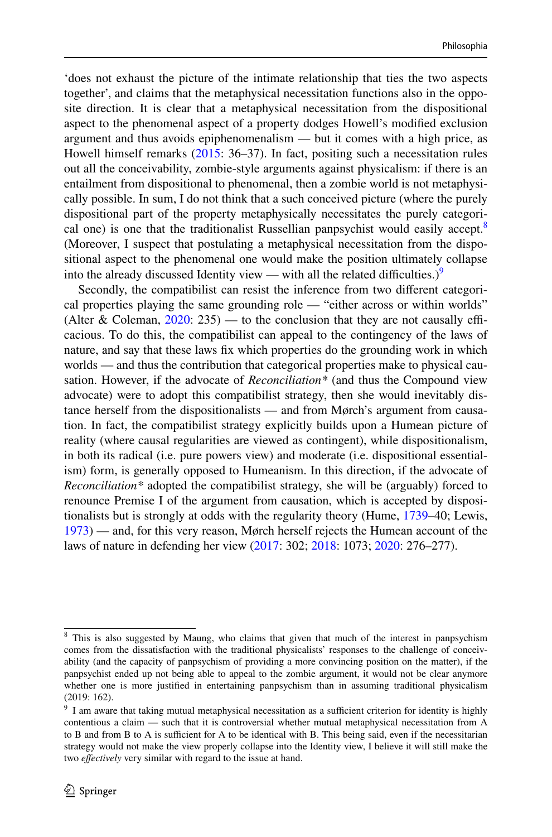'does not exhaust the picture of the intimate relationship that ties the two aspects together', and claims that the metaphysical necessitation functions also in the opposite direction. It is clear that a metaphysical necessitation from the dispositional aspect to the phenomenal aspect of a property dodges Howell's modifed exclusion argument and thus avoids epiphenomenalism — but it comes with a high price, as Howell himself remarks ([2015:](#page-20-24) 36–37). In fact, positing such a necessitation rules out all the conceivability, zombie-style arguments against physicalism: if there is an entailment from dispositional to phenomenal, then a zombie world is not metaphysically possible. In sum, I do not think that a such conceived picture (where the purely dispositional part of the property metaphysically necessitates the purely categori-cal one) is one that the traditionalist Russellian panpsychist would easily accept.<sup>[8](#page-17-0)</sup> (Moreover, I suspect that postulating a metaphysical necessitation from the dispositional aspect to the phenomenal one would make the position ultimately collapse into the already discussed Identity view — with all the related difficulties.)<sup>[9](#page-17-1)</sup>

Secondly, the compatibilist can resist the inference from two diferent categorical properties playing the same grounding role — "either across or within worlds" (Alter & Coleman,  $2020: 235$  $2020: 235$ ) — to the conclusion that they are not causally efficacious. To do this, the compatibilist can appeal to the contingency of the laws of nature, and say that these laws fx which properties do the grounding work in which worlds — and thus the contribution that categorical properties make to physical causation. However, if the advocate of *Reconciliation\** (and thus the Compound view advocate) were to adopt this compatibilist strategy, then she would inevitably distance herself from the dispositionalists — and from Mørch's argument from causation. In fact, the compatibilist strategy explicitly builds upon a Humean picture of reality (where causal regularities are viewed as contingent), while dispositionalism, in both its radical (i.e. pure powers view) and moderate (i.e. dispositional essentialism) form, is generally opposed to Humeanism. In this direction, if the advocate of *Reconciliation\** adopted the compatibilist strategy, she will be (arguably) forced to renounce Premise I of the argument from causation, which is accepted by dispositionalists but is strongly at odds with the regularity theory (Hume, [1739](#page-20-26)–40; Lewis, [1973](#page-21-25)) — and, for this very reason, Mørch herself rejects the Humean account of the laws of nature in defending her view [\(2017](#page-21-26): 302; [2018:](#page-21-2) 1073; [2020](#page-21-3): 276–277).

<span id="page-17-0"></span><sup>&</sup>lt;sup>8</sup> This is also suggested by Maung, who claims that given that much of the interest in panpsychism comes from the dissatisfaction with the traditional physicalists' responses to the challenge of conceivability (and the capacity of panpsychism of providing a more convincing position on the matter), if the panpsychist ended up not being able to appeal to the zombie argument, it would not be clear anymore whether one is more justifed in entertaining panpsychism than in assuming traditional physicalism (2019: 162).

<span id="page-17-1"></span><sup>&</sup>lt;sup>9</sup> I am aware that taking mutual metaphysical necessitation as a sufficient criterion for identity is highly contentious a claim — such that it is controversial whether mutual metaphysical necessitation from A to B and from B to A is sufficient for A to be identical with B. This being said, even if the necessitarian strategy would not make the view properly collapse into the Identity view, I believe it will still make the two *efectively* very similar with regard to the issue at hand.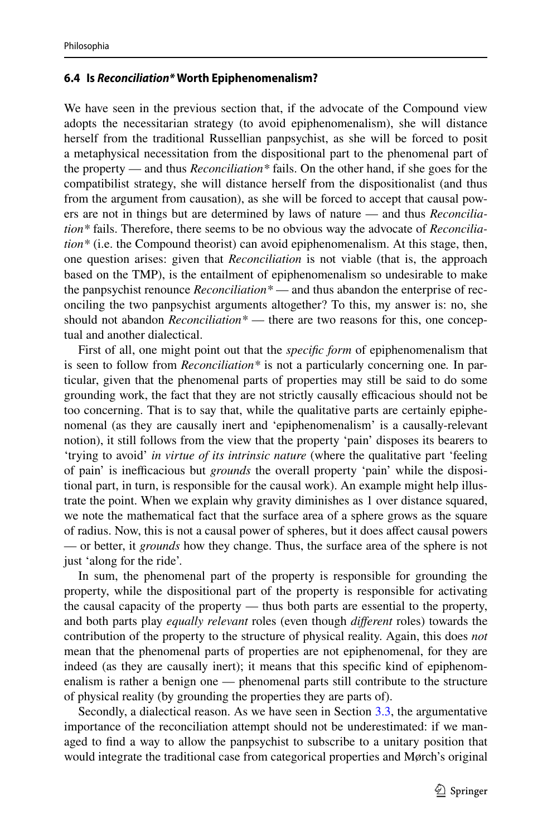### **6.4 Is** *Reconciliation\** **Worth Epiphenomenalism?**

We have seen in the previous section that, if the advocate of the Compound view adopts the necessitarian strategy (to avoid epiphenomenalism), she will distance herself from the traditional Russellian panpsychist, as she will be forced to posit a metaphysical necessitation from the dispositional part to the phenomenal part of the property — and thus *Reconciliation\** fails. On the other hand, if she goes for the compatibilist strategy, she will distance herself from the dispositionalist (and thus from the argument from causation), as she will be forced to accept that causal powers are not in things but are determined by laws of nature — and thus *Reconciliation\** fails. Therefore, there seems to be no obvious way the advocate of *Reconciliation\** (i.e. the Compound theorist) can avoid epiphenomenalism. At this stage, then, one question arises: given that *Reconciliation* is not viable (that is, the approach based on the TMP), is the entailment of epiphenomenalism so undesirable to make the panpsychist renounce *Reconciliation\** — and thus abandon the enterprise of reconciling the two panpsychist arguments altogether? To this, my answer is: no, she should not abandon *Reconciliation\** — there are two reasons for this, one conceptual and another dialectical.

First of all, one might point out that the *specifc form* of epiphenomenalism that is seen to follow from *Reconciliation\** is not a particularly concerning one*.* In particular, given that the phenomenal parts of properties may still be said to do some grounding work, the fact that they are not strictly causally efficacious should not be too concerning. That is to say that, while the qualitative parts are certainly epiphenomenal (as they are causally inert and 'epiphenomenalism' is a causally-relevant notion), it still follows from the view that the property 'pain' disposes its bearers to 'trying to avoid' *in virtue of its intrinsic nature* (where the qualitative part 'feeling of pain' is inefcacious but *grounds* the overall property 'pain' while the dispositional part, in turn, is responsible for the causal work). An example might help illustrate the point. When we explain why gravity diminishes as 1 over distance squared, we note the mathematical fact that the surface area of a sphere grows as the square of radius. Now, this is not a causal power of spheres, but it does afect causal powers — or better, it *grounds* how they change. Thus, the surface area of the sphere is not just 'along for the ride'.

In sum, the phenomenal part of the property is responsible for grounding the property, while the dispositional part of the property is responsible for activating the causal capacity of the property — thus both parts are essential to the property, and both parts play *equally relevant* roles (even though *diferent* roles) towards the contribution of the property to the structure of physical reality. Again, this does *not* mean that the phenomenal parts of properties are not epiphenomenal, for they are indeed (as they are causally inert); it means that this specifc kind of epiphenomenalism is rather a benign one — phenomenal parts still contribute to the structure of physical reality (by grounding the properties they are parts of).

Secondly, a dialectical reason. As we have seen in Section [3.3](#page-6-0), the argumentative importance of the reconciliation attempt should not be underestimated: if we managed to fnd a way to allow the panpsychist to subscribe to a unitary position that would integrate the traditional case from categorical properties and Mørch's original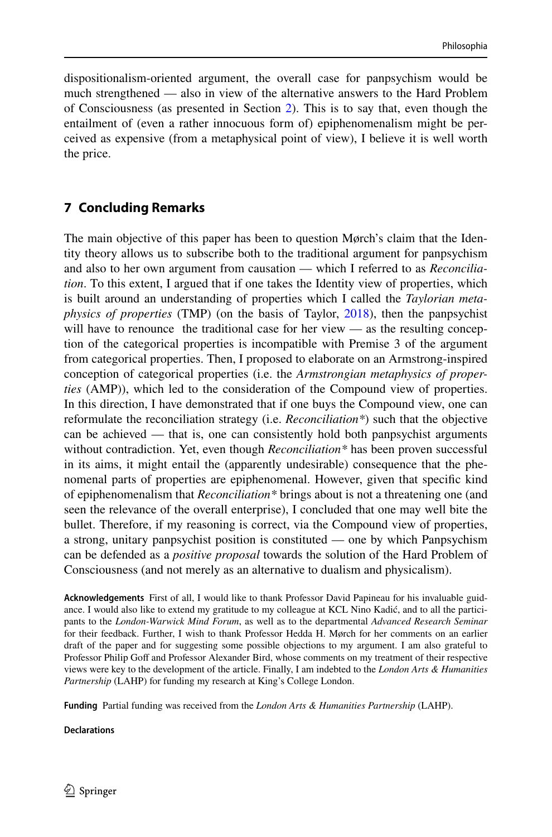dispositionalism-oriented argument, the overall case for panpsychism would be much strengthened — also in view of the alternative answers to the Hard Problem of Consciousness (as presented in Section [2](#page-2-0)). This is to say that, even though the entailment of (even a rather innocuous form of) epiphenomenalism might be perceived as expensive (from a metaphysical point of view), I believe it is well worth the price.

### **7 Concluding Remarks**

The main objective of this paper has been to question Mørch's claim that the Identity theory allows us to subscribe both to the traditional argument for panpsychism and also to her own argument from causation — which I referred to as *Reconciliation*. To this extent, I argued that if one takes the Identity view of properties, which is built around an understanding of properties which I called the *Taylorian metaphysics of properties* (TMP) (on the basis of Taylor, [2018](#page-21-4)), then the panpsychist will have to renounce the traditional case for her view — as the resulting conception of the categorical properties is incompatible with Premise 3 of the argument from categorical properties. Then, I proposed to elaborate on an Armstrong-inspired conception of categorical properties (i.e. the *Armstrongian metaphysics of properties* (AMP)), which led to the consideration of the Compound view of properties. In this direction, I have demonstrated that if one buys the Compound view, one can reformulate the reconciliation strategy (i.e. *Reconciliation\**) such that the objective can be achieved — that is, one can consistently hold both panpsychist arguments without contradiction. Yet, even though *Reconciliation\** has been proven successful in its aims, it might entail the (apparently undesirable) consequence that the phenomenal parts of properties are epiphenomenal. However, given that specifc kind of epiphenomenalism that *Reconciliation\** brings about is not a threatening one (and seen the relevance of the overall enterprise), I concluded that one may well bite the bullet. Therefore, if my reasoning is correct, via the Compound view of properties, a strong, unitary panpsychist position is constituted — one by which Panpsychism can be defended as a *positive proposal* towards the solution of the Hard Problem of Consciousness (and not merely as an alternative to dualism and physicalism).

**Acknowledgements** First of all, I would like to thank Professor David Papineau for his invaluable guidance. I would also like to extend my gratitude to my colleague at KCL Nino Kadić, and to all the participants to the *London-Warwick Mind Forum*, as well as to the departmental *Advanced Research Seminar* for their feedback. Further, I wish to thank Professor Hedda H. Mørch for her comments on an earlier draft of the paper and for suggesting some possible objections to my argument. I am also grateful to Professor Philip Goff and Professor Alexander Bird, whose comments on my treatment of their respective views were key to the development of the article. Finally, I am indebted to the *London Arts & Humanities Partnership* (LAHP) for funding my research at King's College London.

**Funding** Partial funding was received from the *London Arts & Humanities Partnership* (LAHP).

**Declarations**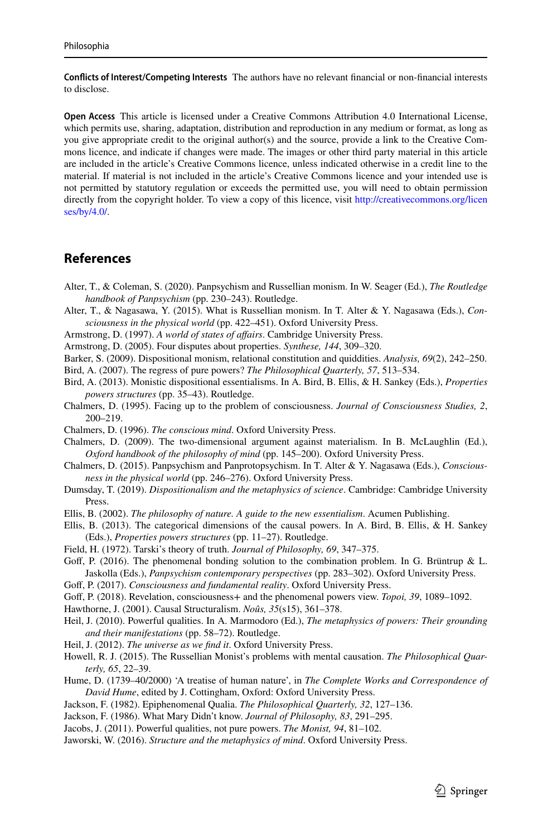**Conficts of Interest/Competing Interests** The authors have no relevant fnancial or non-fnancial interests to disclose.

**Open Access** This article is licensed under a Creative Commons Attribution 4.0 International License, which permits use, sharing, adaptation, distribution and reproduction in any medium or format, as long as you give appropriate credit to the original author(s) and the source, provide a link to the Creative Commons licence, and indicate if changes were made. The images or other third party material in this article are included in the article's Creative Commons licence, unless indicated otherwise in a credit line to the material. If material is not included in the article's Creative Commons licence and your intended use is not permitted by statutory regulation or exceeds the permitted use, you will need to obtain permission directly from the copyright holder. To view a copy of this licence, visit [http://creativecommons.org/licen](http://creativecommons.org/licenses/by/4.0/) [ses/by/4.0/](http://creativecommons.org/licenses/by/4.0/).

### **References**

- <span id="page-20-25"></span>Alter, T., & Coleman, S. (2020). Panpsychism and Russellian monism. In W. Seager (Ed.), *The Routledge handbook of Panpsychism* (pp. 230–243). Routledge.
- <span id="page-20-0"></span>Alter, T., & Nagasawa, Y. (2015). What is Russellian monism. In T. Alter & Y. Nagasawa (Eds.), *Consciousness in the physical world* (pp. 422–451). Oxford University Press.
- <span id="page-20-11"></span>Armstrong, D. (1997). *A world of states of afairs*. Cambridge University Press.
- <span id="page-20-22"></span>Armstrong, D. (2005). Four disputes about properties. *Synthese, 144*, 309–320.
- <span id="page-20-15"></span>Barker, S. (2009). Dispositional monism, relational constitution and quiddities. *Analysis, 69*(2), 242–250.
- <span id="page-20-3"></span>Bird, A. (2007). The regress of pure powers? *The Philosophical Quarterly, 57*, 513–534.
- <span id="page-20-13"></span>Bird, A. (2013). Monistic dispositional essentialisms. In A. Bird, B. Ellis, & H. Sankey (Eds.), *Properties powers structures* (pp. 35–43). Routledge.
- <span id="page-20-5"></span>Chalmers, D. (1995). Facing up to the problem of consciousness. *Journal of Consciousness Studies, 2*, 200–219.
- <span id="page-20-9"></span>Chalmers, D. (1996). *The conscious mind*. Oxford University Press.
- <span id="page-20-10"></span>Chalmers, D. (2009). The two-dimensional argument against materialism. In B. McLaughlin (Ed.), *Oxford handbook of the philosophy of mind* (pp. 145–200). Oxford University Press.
- <span id="page-20-1"></span>Chalmers, D. (2015). Panpsychism and Panprotopsychism. In T. Alter & Y. Nagasawa (Eds.), *Consciousness in the physical world* (pp. 246–276). Oxford University Press.
- <span id="page-20-16"></span>Dumsday, T. (2019). *Dispositionalism and the metaphysics of science*. Cambridge: Cambridge University Press.
- <span id="page-20-14"></span>Ellis, B. (2002). *The philosophy of nature. A guide to the new essentialism*. Acumen Publishing.
- <span id="page-20-4"></span>Ellis, B. (2013). The categorical dimensions of the causal powers. In A. Bird, B. Ellis, & H. Sankey (Eds.), *Properties powers structures* (pp. 11–27). Routledge.
- <span id="page-20-6"></span>Field, H. (1972). Tarski's theory of truth. *Journal of Philosophy, 69*, 347–375.
- <span id="page-20-17"></span>Goff, P. (2016). The phenomenal bonding solution to the combination problem. In G. Brüntrup & L. Jaskolla (Eds.), *Panpsychism contemporary perspectives* (pp. 283–302). Oxford University Press.
- <span id="page-20-2"></span>Gof, P. (2017). *Consciousness and fundamental reality*. Oxford University Press.
- <span id="page-20-23"></span>Gof, P. (2018). Revelation, consciousness+ and the phenomenal powers view. *Topoi, 39*, 1089–1092.
- <span id="page-20-12"></span>Hawthorne, J. (2001). Causal Structuralism. *Noûs, 35*(s15), 361–378.
- <span id="page-20-18"></span>Heil, J. (2010). Powerful qualities. In A. Marmodoro (Ed.), *The metaphysics of powers: Their grounding and their manifestations* (pp. 58–72). Routledge.
- <span id="page-20-19"></span>Heil, J. (2012). *The universe as we fnd it*. Oxford University Press.
- <span id="page-20-24"></span>Howell, R. J. (2015). The Russellian Monist's problems with mental causation. *The Philosophical Quarterly, 65*, 22–39.
- <span id="page-20-26"></span>Hume, D. (1739–40/2000) 'A treatise of human nature', in *The Complete Works and Correspondence of David Hume*, edited by J. Cottingham, Oxford: Oxford University Press.
- <span id="page-20-7"></span>Jackson, F. (1982). Epiphenomenal Qualia. *The Philosophical Quarterly, 32*, 127–136.
- <span id="page-20-8"></span>Jackson, F. (1986). What Mary Didn't know. *Journal of Philosophy, 83*, 291–295.
- <span id="page-20-20"></span>Jacobs, J. (2011). Powerful qualities, not pure powers. *The Monist, 94*, 81–102.
- <span id="page-20-21"></span>Jaworski, W. (2016). *Structure and the metaphysics of mind*. Oxford University Press.